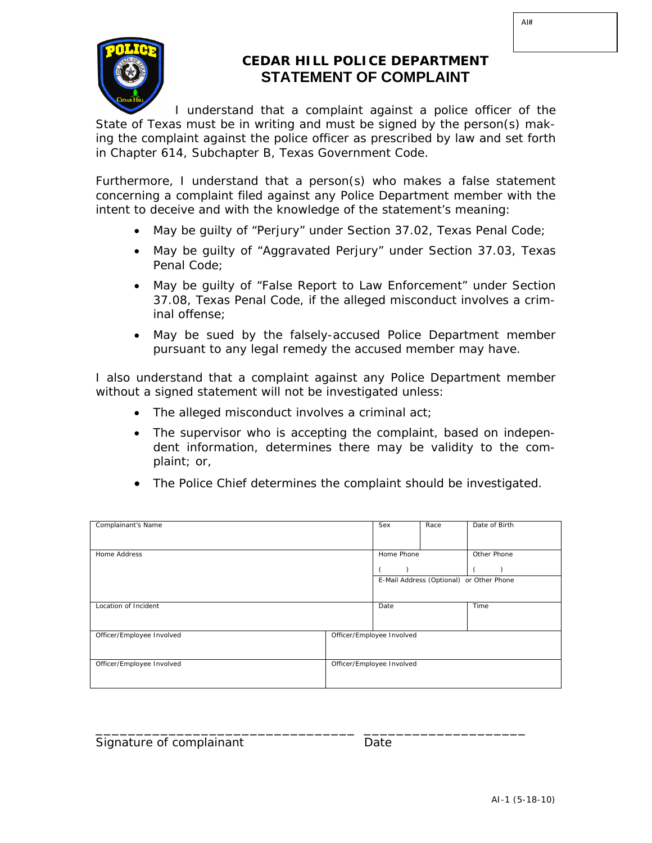

## **CEDAR HILL POLICE DEPARTMENT STATEMENT OF COMPLAINT**

I understand that a complaint against a police officer of the State of Texas must be in writing and must be signed by the person(s) making the complaint against the police officer as prescribed by law and set forth in Chapter 614, Subchapter B, Texas Government Code.

Furthermore, I understand that a person(s) who makes a false statement concerning a complaint filed against any Police Department member with the intent to deceive and with the knowledge of the statement's meaning:

- May be guilty of "Perjury" under Section 37.02, Texas Penal Code;
- May be guilty of "Aggravated Perjury" under Section 37.03, Texas Penal Code;
- May be guilty of "False Report to Law Enforcement" under Section 37.08, Texas Penal Code, if the alleged misconduct involves a criminal offense;
- May be sued by the falsely-accused Police Department member pursuant to any legal remedy the accused member may have.

I also understand that a complaint against any Police Department member without a signed statement will not be investigated unless:

- The alleged misconduct involves a criminal act;
- The supervisor who is accepting the complaint, based on independent information, determines there may be validity to the complaint; or,
- The Police Chief determines the complaint should be investigated.

| Complainant's Name        |                           | Sex        | Race | Date of Birth                            |
|---------------------------|---------------------------|------------|------|------------------------------------------|
| Home Address              |                           | Home Phone |      | Other Phone                              |
|                           |                           |            |      | E-Mail Address (Optional) or Other Phone |
| Location of Incident      |                           | Date       |      | Time                                     |
| Officer/Employee Involved | Officer/Employee Involved |            |      |                                          |
| Officer/Employee Involved | Officer/Employee Involved |            |      |                                          |

\_\_\_\_\_\_\_\_\_\_\_\_\_\_\_\_\_\_\_\_\_\_\_\_\_\_\_\_\_\_\_\_ \_\_\_\_\_\_\_\_\_\_\_\_\_\_\_\_\_\_\_\_

Signature of complainant and Date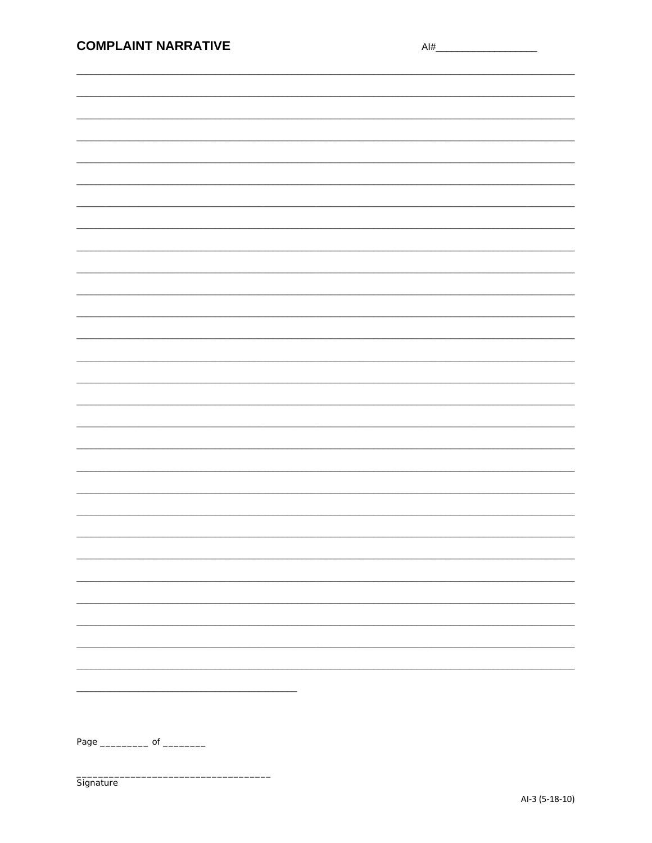| <b>COMPLAINT NARRATIVE</b>          | Al# |
|-------------------------------------|-----|
|                                     |     |
|                                     |     |
|                                     |     |
|                                     |     |
|                                     |     |
|                                     |     |
|                                     |     |
|                                     |     |
|                                     |     |
|                                     |     |
|                                     |     |
|                                     |     |
|                                     |     |
|                                     |     |
|                                     |     |
|                                     |     |
|                                     |     |
|                                     |     |
|                                     |     |
|                                     |     |
|                                     |     |
|                                     |     |
|                                     |     |
|                                     |     |
|                                     |     |
|                                     |     |
|                                     |     |
|                                     |     |
|                                     |     |
|                                     |     |
|                                     |     |
|                                     |     |
|                                     |     |
|                                     |     |
|                                     |     |
|                                     |     |
|                                     |     |
|                                     |     |
|                                     |     |
| Page _______________ of ___________ |     |
|                                     |     |